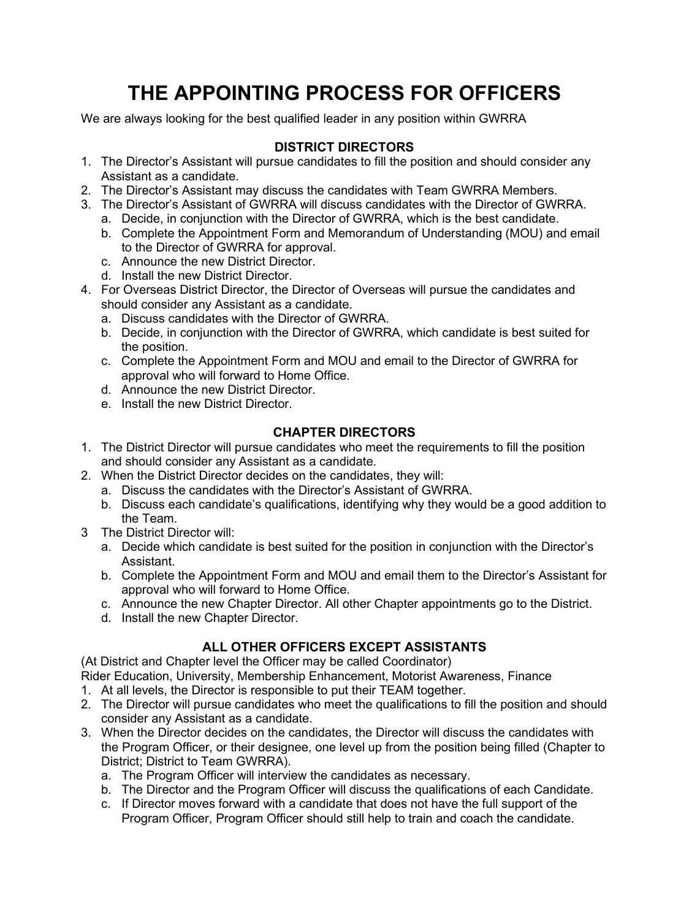# **THE APPOINTING PROCESS FOR OFFICERS**

We are always looking for the best qualified leader in any position within GWRRA

### **DISTRICT DIRECTORS**

- 1. The Director's Assistant will pursue candidates to fill the position and should consider any Assistant as a candidate.
- 2. The Director's Assistant may discuss the candidates with Team GWRRA Members.
- 3. The Director's Assistant of GWRRA will discuss candidates with the Director of GWRRA.
	- a. Decide, in conjunction with the Director of GWRRA, which is the best candidate.
	- b. Complete the Appointment Form and Memorandum of Understanding (MOU) and email to the Director of GWRRA for approval.
	- c. Announce the new District Director.
	- d. Install the new District Director.
- 4. For Overseas District Director, the Director of Overseas will pursue the candidates and should consider any Assistant as a candidate.
	- a. Discuss candidates with the Director of GWRRA.
	- b. Decide, in conjunction with the Director of GWRRA, which candidate is best suited for the position.
	- c. Complete the Appointment Form and MOU and email to the Director of GWRRA for approval who will forward to Home Office.
	- d. Announce the new District Director.
	- e. Install the new District Director.

#### **CHAPTER DIRECTORS**

- 1. The District Director will pursue candidates who meet the requirements to fill the position and should consider any Assistant as a candidate.
- 2. When the District Director decides on the candidates, they will:
	- a. Discuss the candidates with the Director's Assistant of GWRRA.
		- b. Discuss each candidate's qualifications, identifying why they would be a good addition to the Team.
- 3 The District Director will:
	- a. Decide which candidate is best suited for the position in conjunction with the Director's Assistant.
	- b. Complete the Appointment Form and MOU and email them to the Director's Assistant for approval who will forward to Home Office.
	- c. Announce the new Chapter Director. All other Chapter appointments go to the District.
	- d. Install the new Chapter Director.

## **ALL OTHER OFFICERS EXCEPT ASSISTANTS**

(At District and Chapter level the Officer may be called Coordinator)

Rider Education, University, Membership Enhancement, Motorist Awareness, Finance

- 1. At all levels, the Director is responsible to put their TEAM together.
- 2. The Director will pursue candidates who meet the qualifications to fill the position and should consider any Assistant as a candidate.
- 3. When the Director decides on the candidates, the Director will discuss the candidates with the Program Officer, or their designee, one level up from the position being filled (Chapter to District; District to Team GWRRA).
	- a. The Program Officer will interview the candidates as necessary.
	- b. The Director and the Program Officer will discuss the qualifications of each Candidate.
	- c. If Director moves forward with a candidate that does not have the full support of the Program Officer, Program Officer should still help to train and coach the candidate.